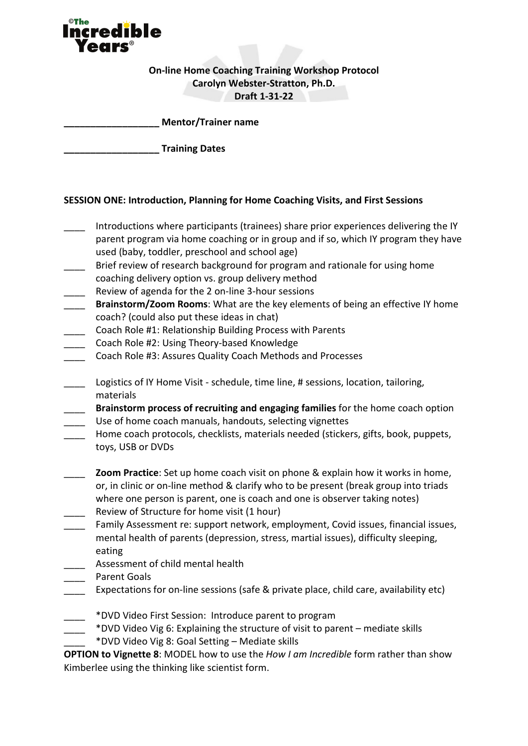

# **On-line Home Coaching Training Workshop Protocol Carolyn Webster-Stratton, Ph.D. Draft 1-31-22**

**\_\_\_\_\_\_\_\_\_\_\_\_\_\_\_\_\_\_ Mentor/Trainer name**

**\_\_\_\_\_\_\_\_\_\_\_\_\_\_\_\_\_\_ Training Dates**

#### **SESSION ONE: Introduction, Planning for Home Coaching Visits, and First Sessions**

- Introductions where participants (trainees) share prior experiences delivering the IY parent program via home coaching or in group and if so, which IY program they have used (baby, toddler, preschool and school age)
- Brief review of research background for program and rationale for using home coaching delivery option vs. group delivery method
- \_\_\_\_ Review of agenda for the 2 on-line 3-hour sessions
- \_\_\_\_ **Brainstorm/Zoom Rooms**: What are the key elements of being an effective IY home coach? (could also put these ideas in chat)
- Coach Role #1: Relationship Building Process with Parents
- Coach Role #2: Using Theory-based Knowledge
- Coach Role #3: Assures Quality Coach Methods and Processes
- Logistics of IY Home Visit schedule, time line, # sessions, location, tailoring, materials

\_\_\_\_ **Brainstorm process of recruiting and engaging families** for the home coach option Use of home coach manuals, handouts, selecting vignettes

- Home coach protocols, checklists, materials needed (stickers, gifts, book, puppets, toys, USB or DVDs
- **Zoom Practice**: Set up home coach visit on phone & explain how it works in home, or, in clinic or on-line method & clarify who to be present (break group into triads where one person is parent, one is coach and one is observer taking notes) Review of Structure for home visit (1 hour)
- Family Assessment re: support network, employment, Covid issues, financial issues, mental health of parents (depression, stress, martial issues), difficulty sleeping, eating
- \_\_\_\_ Assessment of child mental health
- Parent Goals
- Expectations for on-line sessions (safe & private place, child care, availability etc)
	- \_\_\_\_ \*DVD Video First Session: Introduce parent to program
- \_\_\_\_ \*DVD Video Vig 6: Explaining the structure of visit to parent mediate skills \_\_\_\_ \*DVD Video Vig 8: Goal Setting – Mediate skills
- **OPTION to Vignette 8**: MODEL how to use the *How I am Incredible* form rather than show Kimberlee using the thinking like scientist form.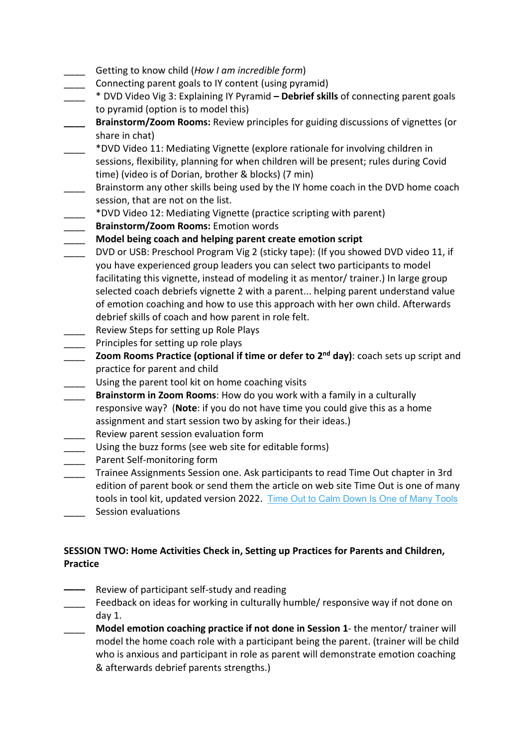- \_\_\_\_ Getting to know child (*How I am incredible form*)
- Connecting parent goals to IY content (using pyramid)
- \_\_\_\_ \* DVD Video Vig 3: Explaining IY Pyramid  **Debrief skills** of connecting parent goals to pyramid (option is to model this)
- **\_\_\_\_ Brainstorm/Zoom Rooms:** Review principles for guiding discussions of vignettes (or share in chat)
- \_\_\_\_ \*DVD Video 11: Mediating Vignette (explore rationale for involving children in sessions, flexibility, planning for when children will be present; rules during Covid time) (video is of Dorian, brother & blocks) (7 min)
- Brainstorm any other skills being used by the IY home coach in the DVD home coach session, that are not on the list.
- \_\_\_\_ \*DVD Video 12: Mediating Vignette (practice scripting with parent)
- \_\_\_\_ **Brainstorm/Zoom Rooms:** Emotion words
- \_\_\_\_ **Model being coach and helping parent create emotion script**
- DVD or USB: Preschool Program Vig 2 (sticky tape): (If you showed DVD video 11, if you have experienced group leaders you can select two participants to model facilitating this vignette, instead of modeling it as mentor/ trainer.) In large group selected coach debriefs vignette 2 with a parent... helping parent understand value of emotion coaching and how to use this approach with her own child. Afterwards debrief skills of coach and how parent in role felt.
- Review Steps for setting up Role Plays
- Principles for setting up role plays
- \_\_\_\_ **Zoom Rooms Practice (optional if time or defer to 2nd day)**: coach sets up script and practice for parent and child
- Using the parent tool kit on home coaching visits
- \_\_\_\_ **Brainstorm in Zoom Rooms**: How do you work with a family in a culturally responsive way? (**Note**: if you do not have time you could give this as a home assignment and start session two by asking for their ideas.)
- Review parent session evaluation form
- Using the buzz forms (see web site for editable forms)
- Parent Self-monitoring form
- Trainee Assignments Session one. Ask participants to read Time Out chapter in 3rd edition of parent book or send them the article on web site Time Out is one of many tools in tool kit, updated version 2022. [Time Out to Calm Down Is One of Many Tools](https://incredibleyears.com/?wpfb_dl=2072)
- Session evaluations

# **SESSION TWO: Home Activities Check in, Setting up Practices for Parents and Children, Practice**

- **––––** Review of participant self-study and reading
	- \_\_\_\_ Feedback on ideas for working in culturally humble/ responsive way if not done on day 1.
- \_\_\_\_ **Model emotion coaching practice if not done in Session 1** the mentor/ trainer will model the home coach role with a participant being the parent. (trainer will be child who is anxious and participant in role as parent will demonstrate emotion coaching & afterwards debrief parents strengths.)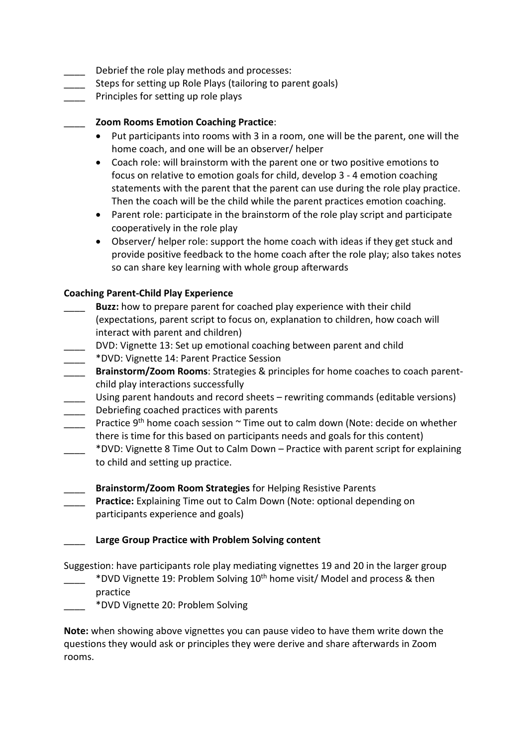- Debrief the role play methods and processes:
- Steps for setting up Role Plays (tailoring to parent goals)
- Principles for setting up role plays

### \_\_\_\_ **Zoom Rooms Emotion Coaching Practice**:

- Put participants into rooms with 3 in a room, one will be the parent, one will the home coach, and one will be an observer/ helper
- Coach role: will brainstorm with the parent one or two positive emotions to focus on relative to emotion goals for child, develop 3 - 4 emotion coaching statements with the parent that the parent can use during the role play practice. Then the coach will be the child while the parent practices emotion coaching.
- Parent role: participate in the brainstorm of the role play script and participate cooperatively in the role play
- Observer/ helper role: support the home coach with ideas if they get stuck and provide positive feedback to the home coach after the role play; also takes notes so can share key learning with whole group afterwards

#### **Coaching Parent-Child Play Experience**

- Buzz: how to prepare parent for coached play experience with their child (expectations, parent script to focus on, explanation to children, how coach will interact with parent and children)
- \_\_\_\_ DVD: Vignette 13: Set up emotional coaching between parent and child
- \_\_\_\_ \*DVD: Vignette 14: Parent Practice Session
- \_\_\_\_ **Brainstorm/Zoom Rooms**: Strategies & principles for home coaches to coach parentchild play interactions successfully
- Using parent handouts and record sheets rewriting commands (editable versions) Debriefing coached practices with parents
- Practice 9<sup>th</sup> home coach session  $\sim$  Time out to calm down (Note: decide on whether there is time for this based on participants needs and goals for this content)
- \_\_\_\_ \*DVD: Vignette 8 Time Out to Calm Down Practice with parent script for explaining to child and setting up practice.
- \_\_\_\_ **Brainstorm/Zoom Room Strategies** for Helping Resistive Parents
- Practice: Explaining Time out to Calm Down (Note: optional depending on participants experience and goals)

## \_\_\_\_ **Large Group Practice with Problem Solving content**

Suggestion: have participants role play mediating vignettes 19 and 20 in the larger group

- \_\_\_\_ \*DVD Vignette 19: Problem Solving 10th home visit/ Model and process & then practice
- \_\_\_\_ \*DVD Vignette 20: Problem Solving

**Note:** when showing above vignettes you can pause video to have them write down the questions they would ask or principles they were derive and share afterwards in Zoom rooms.